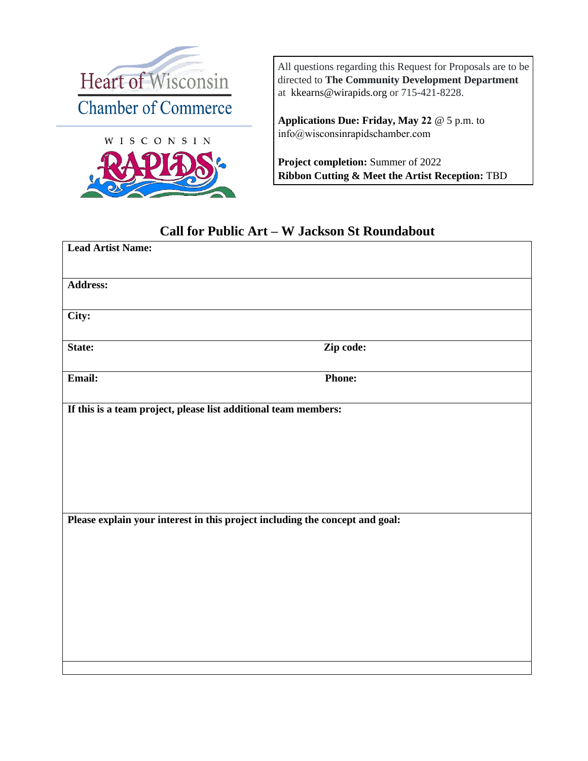



All questions regarding this Request for Proposals are to be directed to **The Community Development Department** at [kkearns@wirapids.org](mailto:kkearns@wirapids.org) or 715-421-8228.

**Applications Due: Friday, May 22** @ 5 p.m. to [info@wisconsinrapidschamber.com](mailto:championsautowash@outlook.com)

**Project completion:** Summer of 2022 **Ribbon Cutting & Meet the Artist Reception:** TBD

## **Call for Public Art – W Jackson St Roundabout**

| <b>Lead Artist Name:</b>                                                     |               |
|------------------------------------------------------------------------------|---------------|
| <b>Address:</b>                                                              |               |
| City:                                                                        |               |
| State:                                                                       | Zip code:     |
| Email:                                                                       | <b>Phone:</b> |
| If this is a team project, please list additional team members:              |               |
|                                                                              |               |
|                                                                              |               |
|                                                                              |               |
| Please explain your interest in this project including the concept and goal: |               |
|                                                                              |               |
|                                                                              |               |
|                                                                              |               |
|                                                                              |               |
|                                                                              |               |